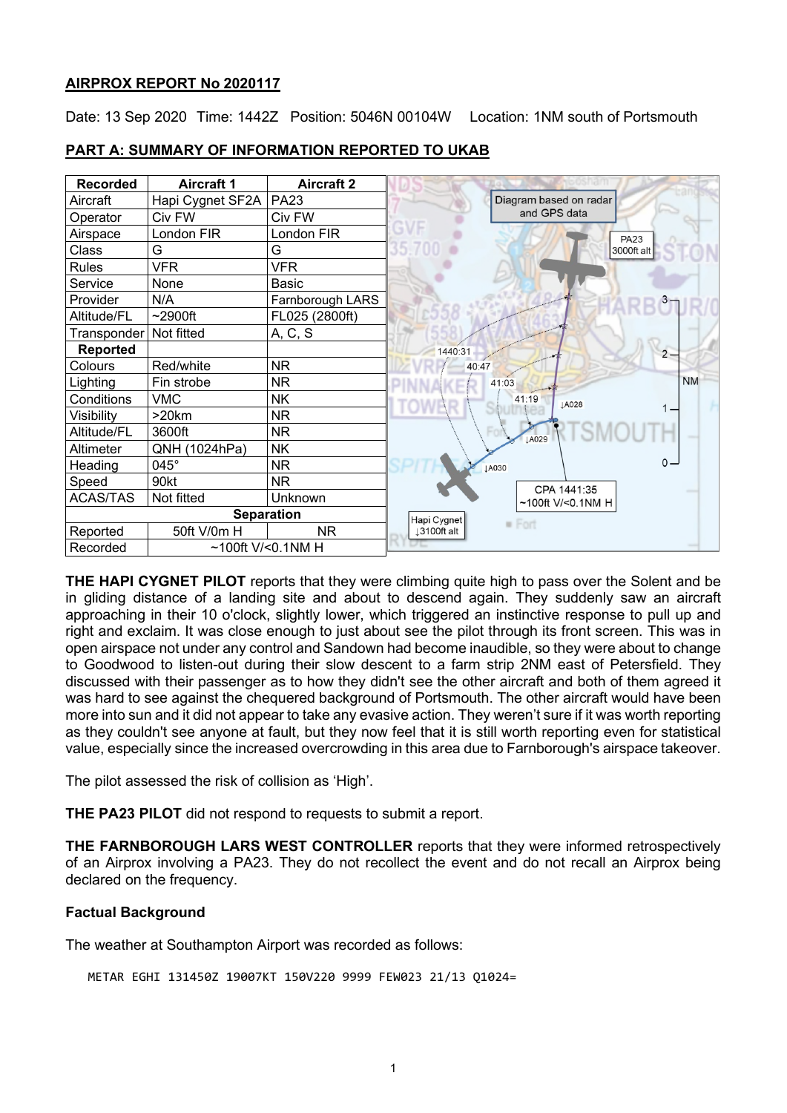# **AIRPROX REPORT No 2020117**

Date: 13 Sep 2020 Time: 1442Z Position: 5046N 00104W Location: 1NM south of Portsmouth

| <b>Recorded</b>                  | <b>Aircraft 1</b> | <b>Aircraft 2</b> |                        |
|----------------------------------|-------------------|-------------------|------------------------|
| Aircraft                         | Hapi Cygnet SF2A  | <b>PA23</b>       | Diagram based on radar |
| Operator                         | Civ FW            | Civ FW            | and GPS data           |
| Airspace                         | London FIR        | London FIR        | <b>PA23</b>            |
| Class                            | G                 | G                 | 35.700<br>3000ft alt   |
| <b>Rules</b>                     | <b>VFR</b>        | <b>VFR</b>        |                        |
| Service                          | None              | Basic             |                        |
| Provider                         | N/A               | Farnborough LARS  |                        |
| Altitude/FL                      | $\sim$ 2900ft     | FL025 (2800ft)    |                        |
| Transponder                      | Not fitted        | A, C, S           |                        |
| Reported                         |                   |                   | 1440:31<br>$2 -$       |
| Colours                          | Red/white         | <b>NR</b>         | 40:47                  |
| Lighting                         | Fin strobe        | <b>NR</b>         | <b>NM</b><br>41:03     |
| Conditions                       | <b>VMC</b>        | <b>NK</b>         | 41:19<br>LA028         |
| Visibility                       | >20km             | <b>NR</b>         |                        |
| Altitude/FL                      | 3600ft            | NR.               | LA029                  |
| Altimeter                        | QNH (1024hPa)     | <b>NK</b>         |                        |
| Heading                          | 045°              | <b>NR</b>         | $0 -$<br>JA030         |
| Speed                            | 90kt              | NR.               | CPA 1441:35            |
| <b>ACAS/TAS</b>                  | Not fitted        | Unknown           | $~100$ ft V/<0.1NM H   |
| <b>Separation</b>                |                   |                   | Hapi Cygnet            |
| Reported                         | 50ft V/0m H       | NR.               | · Fort<br>13100ft alt  |
| Recorded<br>~100ft $V$ /<0.1NM H |                   |                   |                        |

## **PART A: SUMMARY OF INFORMATION REPORTED TO UKAB**

**THE HAPI CYGNET PILOT** reports that they were climbing quite high to pass over the Solent and be in gliding distance of a landing site and about to descend again. They suddenly saw an aircraft approaching in their 10 o'clock, slightly lower, which triggered an instinctive response to pull up and right and exclaim. It was close enough to just about see the pilot through its front screen. This was in open airspace not under any control and Sandown had become inaudible, so they were about to change to Goodwood to listen-out during their slow descent to a farm strip 2NM east of Petersfield. They discussed with their passenger as to how they didn't see the other aircraft and both of them agreed it was hard to see against the chequered background of Portsmouth. The other aircraft would have been more into sun and it did not appear to take any evasive action. They weren't sure if it was worth reporting as they couldn't see anyone at fault, but they now feel that it is still worth reporting even for statistical value, especially since the increased overcrowding in this area due to Farnborough's airspace takeover.

The pilot assessed the risk of collision as 'High'.

**THE PA23 PILOT** did not respond to requests to submit a report.

**THE FARNBOROUGH LARS WEST CONTROLLER** reports that they were informed retrospectively of an Airprox involving a PA23. They do not recollect the event and do not recall an Airprox being declared on the frequency.

# **Factual Background**

The weather at Southampton Airport was recorded as follows:

METAR EGHI 131450Z 19007KT 150V220 9999 FEW023 21/13 Q1024=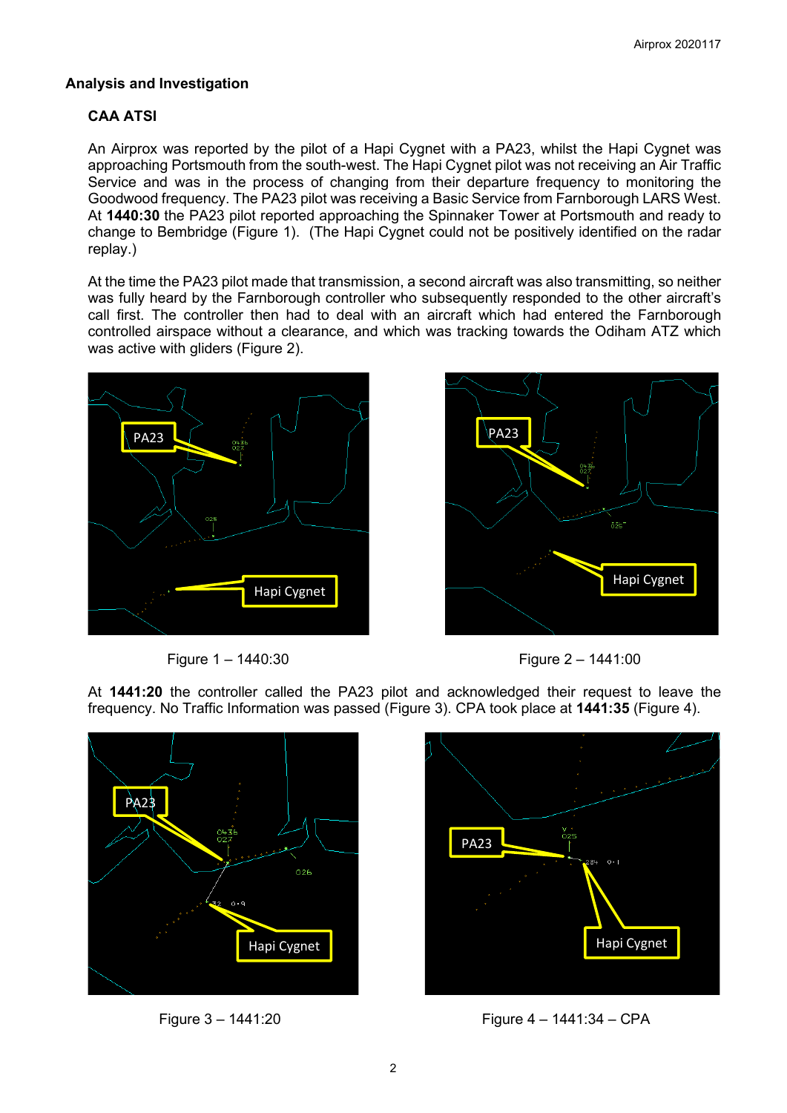# **Analysis and Investigation**

# **CAA ATSI**

An Airprox was reported by the pilot of a Hapi Cygnet with a PA23, whilst the Hapi Cygnet was approaching Portsmouth from the south-west. The Hapi Cygnet pilot was not receiving an Air Traffic Service and was in the process of changing from their departure frequency to monitoring the Goodwood frequency. The PA23 pilot was receiving a Basic Service from Farnborough LARS West. At **1440:30** the PA23 pilot reported approaching the Spinnaker Tower at Portsmouth and ready to change to Bembridge (Figure 1). (The Hapi Cygnet could not be positively identified on the radar replay.)

At the time the PA23 pilot made that transmission, a second aircraft was also transmitting, so neither was fully heard by the Farnborough controller who subsequently responded to the other aircraft's call first. The controller then had to deal with an aircraft which had entered the Farnborough controlled airspace without a clearance, and which was tracking towards the Odiham ATZ which was active with gliders (Figure 2).







At **1441:20** the controller called the PA23 pilot and acknowledged their request to leave the frequency. No Traffic Information was passed (Figure 3). CPA took place at **1441:35** (Figure 4).





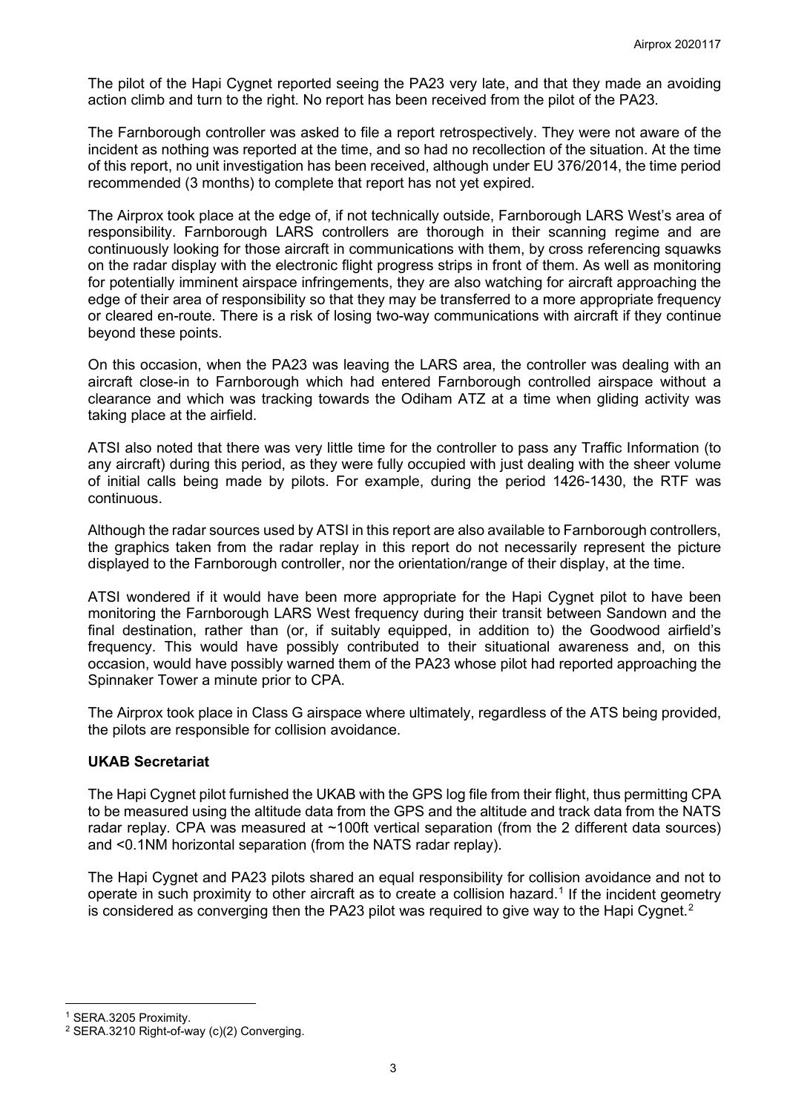The pilot of the Hapi Cygnet reported seeing the PA23 very late, and that they made an avoiding action climb and turn to the right. No report has been received from the pilot of the PA23.

The Farnborough controller was asked to file a report retrospectively. They were not aware of the incident as nothing was reported at the time, and so had no recollection of the situation. At the time of this report, no unit investigation has been received, although under EU 376/2014, the time period recommended (3 months) to complete that report has not yet expired.

The Airprox took place at the edge of, if not technically outside, Farnborough LARS West's area of responsibility. Farnborough LARS controllers are thorough in their scanning regime and are continuously looking for those aircraft in communications with them, by cross referencing squawks on the radar display with the electronic flight progress strips in front of them. As well as monitoring for potentially imminent airspace infringements, they are also watching for aircraft approaching the edge of their area of responsibility so that they may be transferred to a more appropriate frequency or cleared en-route. There is a risk of losing two-way communications with aircraft if they continue beyond these points.

On this occasion, when the PA23 was leaving the LARS area, the controller was dealing with an aircraft close-in to Farnborough which had entered Farnborough controlled airspace without a clearance and which was tracking towards the Odiham ATZ at a time when gliding activity was taking place at the airfield.

ATSI also noted that there was very little time for the controller to pass any Traffic Information (to any aircraft) during this period, as they were fully occupied with just dealing with the sheer volume of initial calls being made by pilots. For example, during the period 1426-1430, the RTF was continuous.

Although the radar sources used by ATSI in this report are also available to Farnborough controllers. the graphics taken from the radar replay in this report do not necessarily represent the picture displayed to the Farnborough controller, nor the orientation/range of their display, at the time.

ATSI wondered if it would have been more appropriate for the Hapi Cygnet pilot to have been monitoring the Farnborough LARS West frequency during their transit between Sandown and the final destination, rather than (or, if suitably equipped, in addition to) the Goodwood airfield's frequency. This would have possibly contributed to their situational awareness and, on this occasion, would have possibly warned them of the PA23 whose pilot had reported approaching the Spinnaker Tower a minute prior to CPA.

The Airprox took place in Class G airspace where ultimately, regardless of the ATS being provided, the pilots are responsible for collision avoidance.

# **UKAB Secretariat**

The Hapi Cygnet pilot furnished the UKAB with the GPS log file from their flight, thus permitting CPA to be measured using the altitude data from the GPS and the altitude and track data from the NATS radar replay. CPA was measured at ~100ft vertical separation (from the 2 different data sources) and <0.1NM horizontal separation (from the NATS radar replay).

The Hapi Cygnet and PA23 pilots shared an equal responsibility for collision avoidance and not to operate in such proximity to other aircraft as to create a collision hazard. [1](#page-2-0) If the incident geometry is considered as converging then the PA[2](#page-2-1)3 pilot was required to give way to the Hapi Cygnet. $^{\text{2}}$ 

<span id="page-2-0"></span><sup>1</sup> SERA.3205 Proximity.

<span id="page-2-1"></span><sup>&</sup>lt;sup>2</sup> SERA.3210 Right-of-way (c)(2) Converging.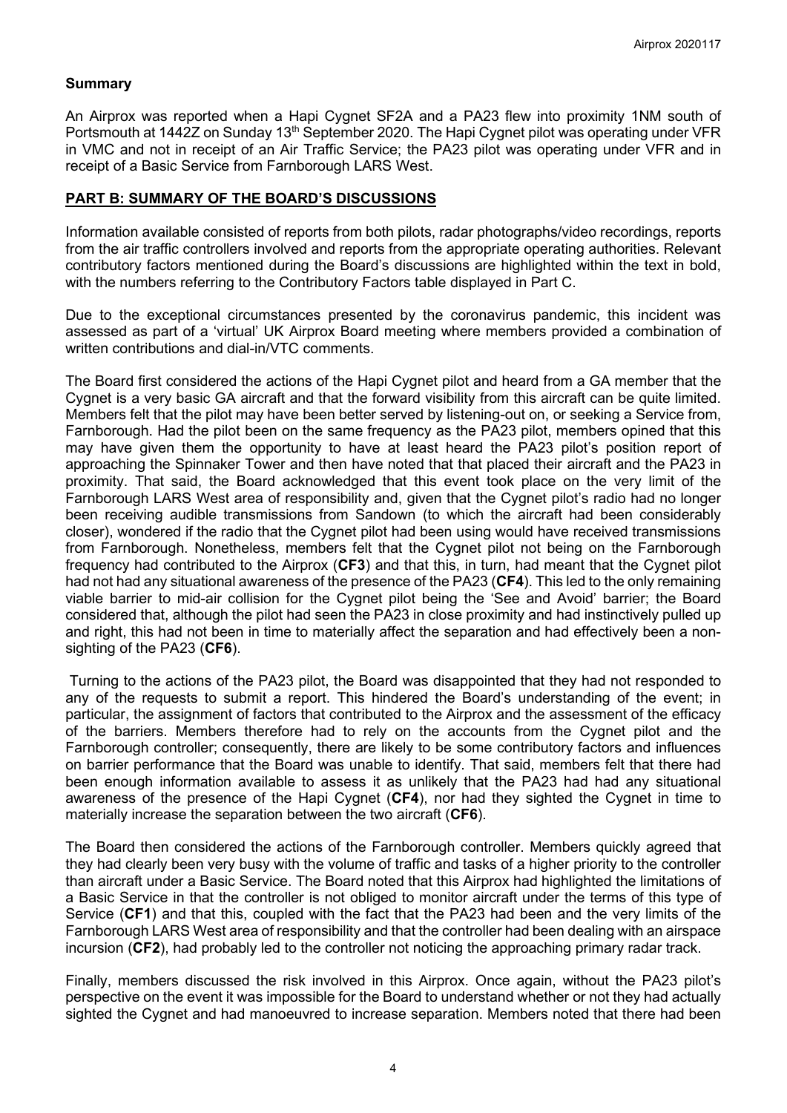## **Summary**

An Airprox was reported when a Hapi Cygnet SF2A and a PA23 flew into proximity 1NM south of Portsmouth at 1442Z on Sunday 13<sup>th</sup> September 2020. The Hapi Cygnet pilot was operating under VFR in VMC and not in receipt of an Air Traffic Service; the PA23 pilot was operating under VFR and in receipt of a Basic Service from Farnborough LARS West.

#### **PART B: SUMMARY OF THE BOARD'S DISCUSSIONS**

Information available consisted of reports from both pilots, radar photographs/video recordings, reports from the air traffic controllers involved and reports from the appropriate operating authorities. Relevant contributory factors mentioned during the Board's discussions are highlighted within the text in bold, with the numbers referring to the Contributory Factors table displayed in Part C.

Due to the exceptional circumstances presented by the coronavirus pandemic, this incident was assessed as part of a 'virtual' UK Airprox Board meeting where members provided a combination of written contributions and dial-in/VTC comments.

The Board first considered the actions of the Hapi Cygnet pilot and heard from a GA member that the Cygnet is a very basic GA aircraft and that the forward visibility from this aircraft can be quite limited. Members felt that the pilot may have been better served by listening-out on, or seeking a Service from, Farnborough. Had the pilot been on the same frequency as the PA23 pilot, members opined that this may have given them the opportunity to have at least heard the PA23 pilot's position report of approaching the Spinnaker Tower and then have noted that that placed their aircraft and the PA23 in proximity. That said, the Board acknowledged that this event took place on the very limit of the Farnborough LARS West area of responsibility and, given that the Cygnet pilot's radio had no longer been receiving audible transmissions from Sandown (to which the aircraft had been considerably closer), wondered if the radio that the Cygnet pilot had been using would have received transmissions from Farnborough. Nonetheless, members felt that the Cygnet pilot not being on the Farnborough frequency had contributed to the Airprox (**CF3**) and that this, in turn, had meant that the Cygnet pilot had not had any situational awareness of the presence of the PA23 (**CF4**). This led to the only remaining viable barrier to mid-air collision for the Cygnet pilot being the 'See and Avoid' barrier; the Board considered that, although the pilot had seen the PA23 in close proximity and had instinctively pulled up and right, this had not been in time to materially affect the separation and had effectively been a nonsighting of the PA23 (**CF6**).

Turning to the actions of the PA23 pilot, the Board was disappointed that they had not responded to any of the requests to submit a report. This hindered the Board's understanding of the event; in particular, the assignment of factors that contributed to the Airprox and the assessment of the efficacy of the barriers. Members therefore had to rely on the accounts from the Cygnet pilot and the Farnborough controller; consequently, there are likely to be some contributory factors and influences on barrier performance that the Board was unable to identify. That said, members felt that there had been enough information available to assess it as unlikely that the PA23 had had any situational awareness of the presence of the Hapi Cygnet (**CF4**), nor had they sighted the Cygnet in time to materially increase the separation between the two aircraft (**CF6**).

The Board then considered the actions of the Farnborough controller. Members quickly agreed that they had clearly been very busy with the volume of traffic and tasks of a higher priority to the controller than aircraft under a Basic Service. The Board noted that this Airprox had highlighted the limitations of a Basic Service in that the controller is not obliged to monitor aircraft under the terms of this type of Service (**CF1**) and that this, coupled with the fact that the PA23 had been and the very limits of the Farnborough LARS West area of responsibility and that the controller had been dealing with an airspace incursion (**CF2**), had probably led to the controller not noticing the approaching primary radar track.

Finally, members discussed the risk involved in this Airprox. Once again, without the PA23 pilot's perspective on the event it was impossible for the Board to understand whether or not they had actually sighted the Cygnet and had manoeuvred to increase separation. Members noted that there had been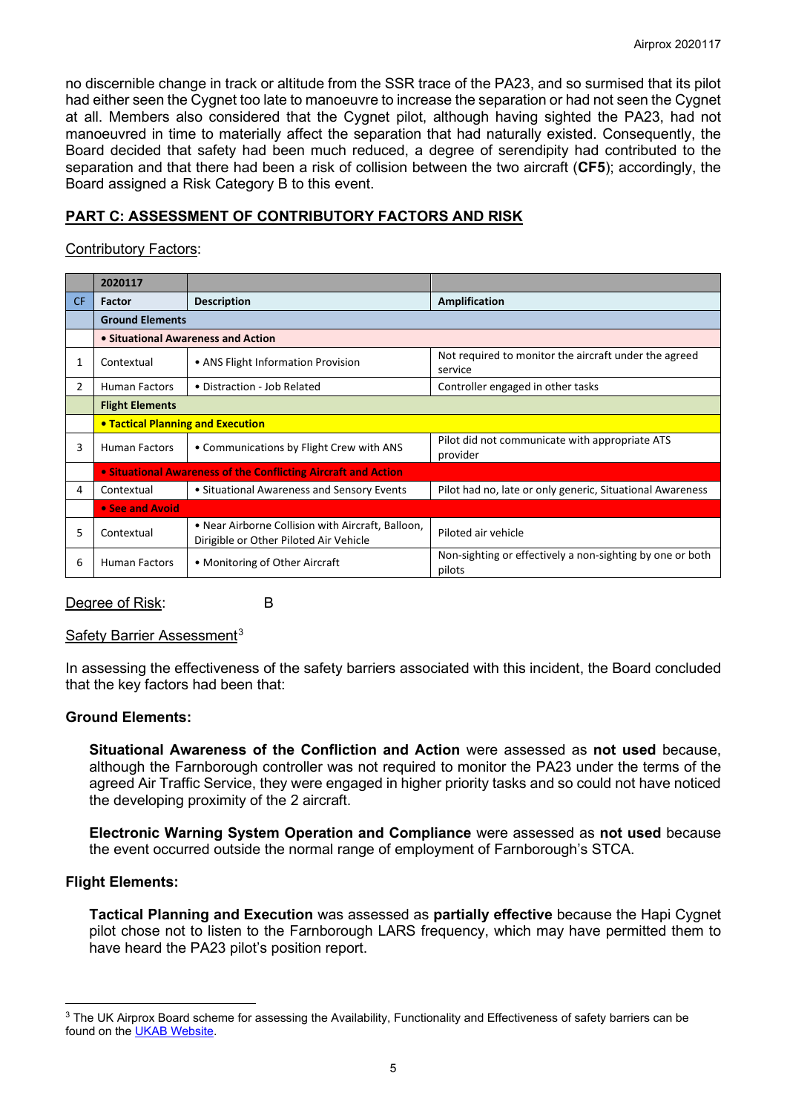no discernible change in track or altitude from the SSR trace of the PA23, and so surmised that its pilot had either seen the Cygnet too late to manoeuvre to increase the separation or had not seen the Cygnet at all. Members also considered that the Cygnet pilot, although having sighted the PA23, had not manoeuvred in time to materially affect the separation that had naturally existed. Consequently, the Board decided that safety had been much reduced, a degree of serendipity had contributed to the separation and that there had been a risk of collision between the two aircraft (**CF5**); accordingly, the Board assigned a Risk Category B to this event.

# **PART C: ASSESSMENT OF CONTRIBUTORY FACTORS AND RISK**

# Contributory Factors:

|           | 2020117                                                        |                                                                                             |                                                                     |  |  |  |  |  |  |
|-----------|----------------------------------------------------------------|---------------------------------------------------------------------------------------------|---------------------------------------------------------------------|--|--|--|--|--|--|
| <b>CF</b> | Factor                                                         | <b>Description</b>                                                                          | Amplification                                                       |  |  |  |  |  |  |
|           | <b>Ground Elements</b>                                         |                                                                                             |                                                                     |  |  |  |  |  |  |
|           | • Situational Awareness and Action                             |                                                                                             |                                                                     |  |  |  |  |  |  |
| 1         | Contextual                                                     | • ANS Flight Information Provision                                                          | Not required to monitor the aircraft under the agreed<br>service    |  |  |  |  |  |  |
| 2         | <b>Human Factors</b>                                           | • Distraction - Job Related                                                                 | Controller engaged in other tasks                                   |  |  |  |  |  |  |
|           | <b>Flight Elements</b>                                         |                                                                                             |                                                                     |  |  |  |  |  |  |
|           |                                                                | <b>• Tactical Planning and Execution</b>                                                    |                                                                     |  |  |  |  |  |  |
| 3         | <b>Human Factors</b>                                           | • Communications by Flight Crew with ANS                                                    | Pilot did not communicate with appropriate ATS<br>provider          |  |  |  |  |  |  |
|           | • Situational Awareness of the Conflicting Aircraft and Action |                                                                                             |                                                                     |  |  |  |  |  |  |
| 4         | Contextual                                                     | • Situational Awareness and Sensory Events                                                  | Pilot had no, late or only generic, Situational Awareness           |  |  |  |  |  |  |
|           | • See and Avoid                                                |                                                                                             |                                                                     |  |  |  |  |  |  |
| 5         | Contextual                                                     | • Near Airborne Collision with Aircraft, Balloon,<br>Dirigible or Other Piloted Air Vehicle | Piloted air vehicle                                                 |  |  |  |  |  |  |
| 6         | <b>Human Factors</b>                                           | • Monitoring of Other Aircraft                                                              | Non-sighting or effectively a non-sighting by one or both<br>pilots |  |  |  |  |  |  |

#### Degree of Risk: B

# Safety Barrier Assessment<sup>[3](#page-4-0)</sup>

In assessing the effectiveness of the safety barriers associated with this incident, the Board concluded that the key factors had been that:

# **Ground Elements:**

**Situational Awareness of the Confliction and Action** were assessed as **not used** because, although the Farnborough controller was not required to monitor the PA23 under the terms of the agreed Air Traffic Service, they were engaged in higher priority tasks and so could not have noticed the developing proximity of the 2 aircraft.

**Electronic Warning System Operation and Compliance** were assessed as **not used** because the event occurred outside the normal range of employment of Farnborough's STCA.

# **Flight Elements:**

**Tactical Planning and Execution** was assessed as **partially effective** because the Hapi Cygnet pilot chose not to listen to the Farnborough LARS frequency, which may have permitted them to have heard the PA23 pilot's position report.

<span id="page-4-0"></span><sup>&</sup>lt;sup>3</sup> The UK Airprox Board scheme for assessing the Availability, Functionality and Effectiveness of safety barriers can be found on the [UKAB Website.](http://www.airproxboard.org.uk/Learn-more/Airprox-Barrier-Assessment/)